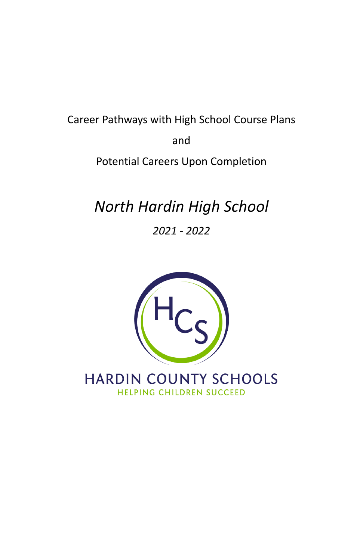# Career Pathways with High School Course Plans and Potential Careers Upon Completion

# *North Hardin High School*

*2021 - 2022*



HARDIN COUNTY SCHOOLS HELPING CHILDREN SUCCEED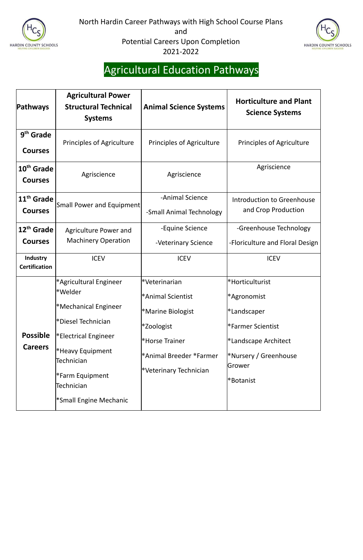



## Agricultural Education Pathways

| <b>Pathways</b>                          | <b>Agricultural Power</b><br><b>Structural Technical</b><br><b>Systems</b>                                                  | <b>Animal Science Systems</b>                                                           | <b>Horticulture and Plant</b><br><b>Science Systems</b>                                    |
|------------------------------------------|-----------------------------------------------------------------------------------------------------------------------------|-----------------------------------------------------------------------------------------|--------------------------------------------------------------------------------------------|
| 9 <sup>th</sup> Grade<br><b>Courses</b>  | Principles of Agriculture                                                                                                   | <b>Principles of Agriculture</b>                                                        | <b>Principles of Agriculture</b>                                                           |
| 10 <sup>th</sup> Grade<br><b>Courses</b> | Agriscience                                                                                                                 | Agriscience                                                                             | Agriscience                                                                                |
| 11 <sup>th</sup> Grade<br><b>Courses</b> | Small Power and Equipment                                                                                                   | -Animal Science<br>-Small Animal Technology                                             | <b>Introduction to Greenhouse</b><br>and Crop Production                                   |
| 12 <sup>th</sup> Grade<br><b>Courses</b> | Agriculture Power and<br><b>Machinery Operation</b>                                                                         | -Equine Science<br>-Veterinary Science                                                  | -Greenhouse Technology<br>-Floriculture and Floral Design                                  |
| <b>Industry</b><br><b>Certification</b>  | <b>ICEV</b>                                                                                                                 | <b>ICEV</b>                                                                             | <b>ICEV</b>                                                                                |
| <b>Possible</b>                          | *Agricultural Engineer<br>l*Welder <br><sup>*</sup> Mechanical Engineer<br>*Diesel Technician<br><b>Electrical Engineer</b> | *Veterinarian<br>*Animal Scientist<br>*Marine Biologist<br>*Zoologist<br>*Horse Trainer | *Horticulturist<br>*Agronomist<br>*Landscaper<br>*Farmer Scientist<br>*Landscape Architect |
| <b>Careers</b>                           | <sup>*</sup> Heavy Equipment<br>Technician<br>Farm Equipment <sup>*</sup><br>Technician<br>*Small Engine Mechanic           | *Animal Breeder *Farmer<br>*Veterinary Technician                                       | *Nursery / Greenhouse<br>Grower<br>*Botanist                                               |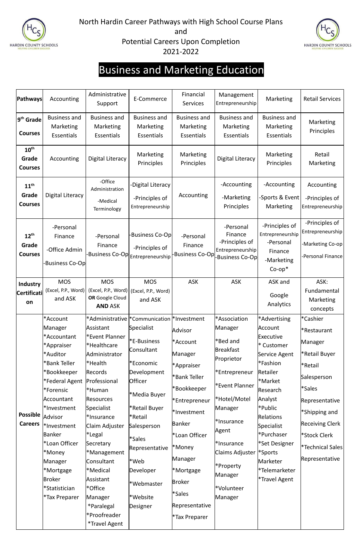



### Business and Marketing Education

| <b>Pathways</b>                             | Accounting                                                                                                                                                                                                                                                                                                       | Administrative<br>Support                                                                                                                                                                                                                                                                                                                               | E-Commerce                                                                                                                                                                                                                                                                              | Financial<br><b>Services</b>                                                                                                                                                                                                           | Management<br>Entrepreneurship                                                                                                                                                                                                               | Marketing                                                                                                                                                                                                                                                                 | <b>Retail Services</b>                                                                                                                                                                                                                 |
|---------------------------------------------|------------------------------------------------------------------------------------------------------------------------------------------------------------------------------------------------------------------------------------------------------------------------------------------------------------------|---------------------------------------------------------------------------------------------------------------------------------------------------------------------------------------------------------------------------------------------------------------------------------------------------------------------------------------------------------|-----------------------------------------------------------------------------------------------------------------------------------------------------------------------------------------------------------------------------------------------------------------------------------------|----------------------------------------------------------------------------------------------------------------------------------------------------------------------------------------------------------------------------------------|----------------------------------------------------------------------------------------------------------------------------------------------------------------------------------------------------------------------------------------------|---------------------------------------------------------------------------------------------------------------------------------------------------------------------------------------------------------------------------------------------------------------------------|----------------------------------------------------------------------------------------------------------------------------------------------------------------------------------------------------------------------------------------|
| 9 <sup>th</sup> Grade<br><b>Courses</b>     | <b>Business and</b><br>Marketing<br><b>Essentials</b>                                                                                                                                                                                                                                                            | <b>Business and</b><br>Marketing<br><b>Essentials</b>                                                                                                                                                                                                                                                                                                   | <b>Business and</b><br>Marketing<br><b>Essentials</b>                                                                                                                                                                                                                                   | <b>Business and</b><br>Marketing<br><b>Essentials</b>                                                                                                                                                                                  | <b>Business and</b><br><b>Marketing</b><br><b>Essentials</b>                                                                                                                                                                                 | <b>Business and</b><br><b>Marketing</b><br>Essentials                                                                                                                                                                                                                     | Marketing<br>Principles                                                                                                                                                                                                                |
| $10^{\text{th}}$<br>Grade<br><b>Courses</b> | Accounting                                                                                                                                                                                                                                                                                                       | <b>Digital Literacy</b>                                                                                                                                                                                                                                                                                                                                 | Marketing<br>Principles                                                                                                                                                                                                                                                                 | Marketing<br>Principles                                                                                                                                                                                                                | <b>Digital Literacy</b>                                                                                                                                                                                                                      | Marketing<br>Principles                                                                                                                                                                                                                                                   | Retail<br>Marketing                                                                                                                                                                                                                    |
| $11^{\text{th}}$<br>Grade<br><b>Courses</b> | Digital Literacy                                                                                                                                                                                                                                                                                                 | -Office<br>Administration<br>-Medical<br>Terminology                                                                                                                                                                                                                                                                                                    | Digital Literacy<br>-Principles of<br>Entrepreneurship                                                                                                                                                                                                                                  | Accounting                                                                                                                                                                                                                             | -Accounting<br>-Marketing<br>Principles                                                                                                                                                                                                      | -Accounting<br>-Sports & Event<br>Marketing                                                                                                                                                                                                                               | Accounting<br>-Principles of<br>Entrepreneurship                                                                                                                                                                                       |
| $12^{\text{th}}$<br>Grade<br><b>Courses</b> | -Personal<br>Finance<br>-Office Admin<br>Business Co-Op                                                                                                                                                                                                                                                          | -Personal<br>Finance                                                                                                                                                                                                                                                                                                                                    | <b>Business Co-Opl</b><br>-Principles of<br>-Business Co-Op  <sub>Entrepreneurship</sub>                                                                                                                                                                                                | -Personal<br>Finance<br><b>Business Co-Op</b>                                                                                                                                                                                          | -Personal<br>Finance<br>-Principles of<br>Entrepreneurship<br>Business Co-Op                                                                                                                                                                 | -Principles of<br>Entrepreneurship<br>-Personal<br>Finance<br>-Marketing<br>$Co$ - $op^*$                                                                                                                                                                                 | -Principles of<br>Entrepreneurship<br>-Marketing Co-op<br>-Personal Finance                                                                                                                                                            |
| <b>Industry</b><br><b>Certificati</b><br>on | <b>MOS</b><br>and ASK                                                                                                                                                                                                                                                                                            | <b>MOS</b><br>(Excel, P.P., Word)   (Excel, P.P., Word)   (Excel, P.P., Word)  <br>OR Google Cloud<br><b>AND ASK</b>                                                                                                                                                                                                                                    | <b>MOS</b><br>and ASK                                                                                                                                                                                                                                                                   | <b>ASK</b>                                                                                                                                                                                                                             | <b>ASK</b>                                                                                                                                                                                                                                   | ASK and<br>Google<br>Analytics                                                                                                                                                                                                                                            | ASK:<br>Fundamental<br>Marketing<br>concepts                                                                                                                                                                                           |
| <b>Possible</b><br><b>Careers</b>           | *Account<br>Manager<br>*Accountant<br>*Appraiser<br>*Auditor<br>*Bank Teller<br>*Bookkeeper<br>*Federal Agent   Professional<br>*Forensic<br>Accountant<br>*Investment<br>Advisor<br>*Investment<br>Banker<br>*Loan Officer<br>*Money<br>Manager<br>*Mortgage<br><b>Broker</b><br>*Statistician<br>*Tax Preparer | Assistant<br>Fevent Planner <sup>*</sup><br>*Healthcare<br>Administrator<br>l*Health<br>Records<br>*Human<br><b>Resources</b><br>Specialist<br>*Insurance<br>Claim Adjuster<br><sup>*</sup> Legal<br>Secretary<br>*Management<br>Consultant<br>*Medical<br>Assistant<br>*Office<br>Manager<br>*Paralegal<br>*Proofreader<br><i><b>*Travel Agent</b></i> | *Administrative  *Communication  *Investment<br>Specialist<br>*E-Business<br>Consultant<br>*Economic<br>Development<br><b>Officer</b><br>*Media Buyer<br>*Retail Buyer<br>*Retail<br>Salesperson<br>*Sales<br>Representative<br>*Web<br>Developer<br>*Webmaster<br>*Website<br>Designer | Advisor<br>*Account<br>Manager<br>*Appraiser<br>*Bank Teller<br>*Bookkeeper<br>*Entrepreneur<br>*Investment<br>Banker<br>*Loan Officer<br>*Money<br>Manager<br>*Mortgage<br><b>Broker</b><br>*Sales<br>Representative<br>*Tax Preparer | *Association<br>Manager<br>*Bed and<br><b>Breakfast</b><br>Proprietor<br>*Entrepreneur<br>*Event Planner<br>*Hotel/Motel<br>Manager<br>*Insurance<br>Agent<br>*Insurance<br>Claims Adjuster<br>*Property<br>Manager<br>*Volunteer<br>Manager | *Advertising<br>Account<br>Executive<br>* Customer<br>Service Agent<br>*Fashion<br>Retailer<br>l*Market<br>Research<br>Analyst<br> *Public<br>Relations<br>Specialist<br>*Purchaser<br>*Set Designer<br><sup>*</sup> Sports<br>Marketer<br>*Telemarketer<br>*Travel Agent | *Cashier<br>*Restaurant<br>Manager<br>*Retail Buyer<br>*Retail<br>Salesperson<br><i><b>*Sales</b></i><br>Representative<br>*Shipping and<br><b>Receiving Clerk</b><br>*Stock Clerk<br><i><b>*Technical Sales</b></i><br>Representative |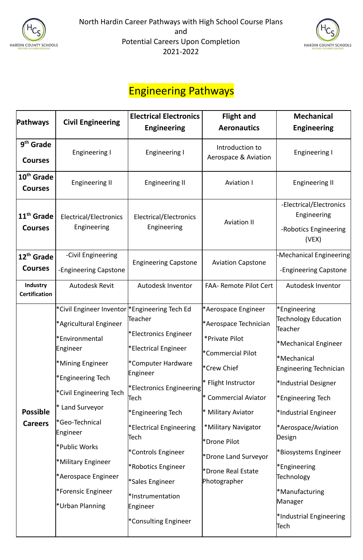



#### Engineering Pathways

| <b>Pathways</b>                          | <b>Civil Engineering</b>                                                                                                                                                                                                                                                                                                           | <b>Electrical Electronics</b>                                                                                                                                                                                                                                                                                 | <b>Flight and</b>                                                                                                                                                                                                                                                                      | <b>Mechanical</b>                                                                                                                                                                                                                                                                                                                                                                                |
|------------------------------------------|------------------------------------------------------------------------------------------------------------------------------------------------------------------------------------------------------------------------------------------------------------------------------------------------------------------------------------|---------------------------------------------------------------------------------------------------------------------------------------------------------------------------------------------------------------------------------------------------------------------------------------------------------------|----------------------------------------------------------------------------------------------------------------------------------------------------------------------------------------------------------------------------------------------------------------------------------------|--------------------------------------------------------------------------------------------------------------------------------------------------------------------------------------------------------------------------------------------------------------------------------------------------------------------------------------------------------------------------------------------------|
|                                          |                                                                                                                                                                                                                                                                                                                                    | <b>Engineering</b>                                                                                                                                                                                                                                                                                            | <b>Aeronautics</b>                                                                                                                                                                                                                                                                     | <b>Engineering</b>                                                                                                                                                                                                                                                                                                                                                                               |
| $9th$ Grade<br><b>Courses</b>            | Engineering I                                                                                                                                                                                                                                                                                                                      | <b>Engineering I</b>                                                                                                                                                                                                                                                                                          | Introduction to<br>Aerospace & Aviation                                                                                                                                                                                                                                                | <b>Engineering I</b>                                                                                                                                                                                                                                                                                                                                                                             |
| 10 <sup>th</sup> Grade<br><b>Courses</b> | Engineering II                                                                                                                                                                                                                                                                                                                     | <b>Engineering II</b>                                                                                                                                                                                                                                                                                         | <b>Aviation I</b>                                                                                                                                                                                                                                                                      | <b>Engineering II</b>                                                                                                                                                                                                                                                                                                                                                                            |
| 11 <sup>th</sup> Grade<br><b>Courses</b> | Electrical/Electronics<br>Engineering                                                                                                                                                                                                                                                                                              | Electrical/Electronics<br>Engineering                                                                                                                                                                                                                                                                         | <b>Aviation II</b>                                                                                                                                                                                                                                                                     | -Electrical/Electronics<br>Engineering<br>-Robotics Engineering<br>(VEX)                                                                                                                                                                                                                                                                                                                         |
| 12 <sup>th</sup> Grade<br><b>Courses</b> | -Civil Engineering<br>-Engineering Capstone                                                                                                                                                                                                                                                                                        | <b>Engineering Capstone</b>                                                                                                                                                                                                                                                                                   | <b>Aviation Capstone</b>                                                                                                                                                                                                                                                               | -Mechanical Engineering<br>-Engineering Capstone                                                                                                                                                                                                                                                                                                                                                 |
| <b>Industry</b><br><b>Certification</b>  | <b>Autodesk Revit</b>                                                                                                                                                                                                                                                                                                              | Autodesk Inventor                                                                                                                                                                                                                                                                                             | <b>FAA- Remote Pilot Cert</b>                                                                                                                                                                                                                                                          | Autodesk Inventor                                                                                                                                                                                                                                                                                                                                                                                |
| <b>Possible</b><br><b>Careers</b>        | *Civil Engineer Inventor  *Engineering Tech Ed<br>*Agricultural Engineer<br>*Environmental<br>Engineer<br>*Mining Engineer<br>*Engineering Tech<br>*Civil Engineering Tech<br>* Land Surveyor<br>*Geo-Technical<br>Engineer<br>*Public Works<br>*Military Engineer<br>*Aerospace Engineer<br>*Forensic Engineer<br>*Urban Planning | Teacher<br>*Electronics Engineer<br>*Electrical Engineer<br>*Computer Hardware<br>Engineer<br>*Electronics Engineering<br>Tech<br>*Engineering Tech<br>*Electrical Engineering<br>Tech<br>*Controls Engineer<br>*Robotics Engineer<br>*Sales Engineer<br>*Instrumentation<br>Engineer<br>*Consulting Engineer | *Aerospace Engineer<br>*Aerospace Technician<br>*Private Pilot<br>*Commercial Pilot<br>*Crew Chief<br>* Flight Instructor<br><b>Commercial Aviator</b><br><b>Military Aviator</b><br>*Military Navigator<br>*Drone Pilot<br>*Drone Land Surveyor<br>*Drone Real Estate<br>Photographer | <sup>*</sup> Engineering<br>Technology Education<br>Teacher<br><sup>*</sup> Mechanical Engineer<br><sup>*</sup> Mechanical<br>Engineering Technician<br>*Industrial Designer<br><sup>*</sup> Engineering Tech<br>*Industrial Engineer<br><sup>*</sup> Aerospace/Aviation<br>Design<br>*Biosystems Engineer<br>*Engineering<br>Technology<br>*Manufacturing<br>Manager<br>*Industrial Engineering |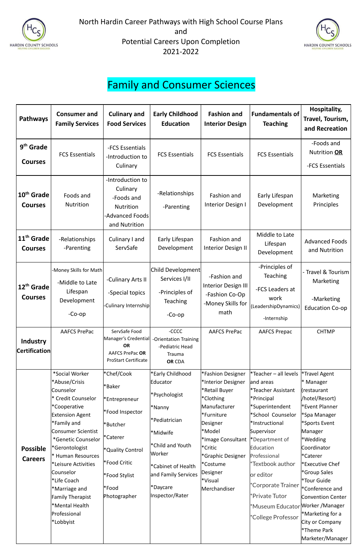



#### Family and Consumer Sciences

| <b>Pathways</b>                          | <b>Consumer and</b><br><b>Family Services</b>                                                                                                                                                                                                                                                                                                                                | <b>Culinary and</b><br><b>Food Services</b>                                                                                                                           | <b>Early Childhood</b><br><b>Education</b>                                                                                                                                                                 | <b>Fashion and</b><br><b>Interior Design</b>                                                                                                                                                                                      | <b>Fundamentals of</b><br><b>Teaching</b>                                                                                                                                                                                                                                                                                                           | Hospitality,<br>Travel, Tourism,<br>and Recreation                                                                                                                                                                                                                                                                                                        |
|------------------------------------------|------------------------------------------------------------------------------------------------------------------------------------------------------------------------------------------------------------------------------------------------------------------------------------------------------------------------------------------------------------------------------|-----------------------------------------------------------------------------------------------------------------------------------------------------------------------|------------------------------------------------------------------------------------------------------------------------------------------------------------------------------------------------------------|-----------------------------------------------------------------------------------------------------------------------------------------------------------------------------------------------------------------------------------|-----------------------------------------------------------------------------------------------------------------------------------------------------------------------------------------------------------------------------------------------------------------------------------------------------------------------------------------------------|-----------------------------------------------------------------------------------------------------------------------------------------------------------------------------------------------------------------------------------------------------------------------------------------------------------------------------------------------------------|
| 9 <sup>th</sup> Grade<br><b>Courses</b>  | <b>FCS Essentials</b>                                                                                                                                                                                                                                                                                                                                                        | -FCS Essentials<br>-Introduction to<br>Culinary                                                                                                                       | <b>FCS Essentials</b>                                                                                                                                                                                      | <b>FCS Essentials</b>                                                                                                                                                                                                             | <b>FCS Essentials</b>                                                                                                                                                                                                                                                                                                                               | -Foods and<br>Nutrition OR<br>-FCS Essentials                                                                                                                                                                                                                                                                                                             |
| 10 <sup>th</sup> Grade<br><b>Courses</b> | Foods and<br><b>Nutrition</b>                                                                                                                                                                                                                                                                                                                                                | -Introduction to<br>Culinary<br>-Foods and<br><b>Nutrition</b><br><b>Advanced Foods</b><br>and Nutrition                                                              | -Relationships<br>-Parenting                                                                                                                                                                               | Fashion and<br>Interior Design I                                                                                                                                                                                                  | Early Lifespan<br>Development                                                                                                                                                                                                                                                                                                                       | Marketing<br>Principles                                                                                                                                                                                                                                                                                                                                   |
| 11 <sup>th</sup> Grade<br><b>Courses</b> | -Relationships<br>-Parenting                                                                                                                                                                                                                                                                                                                                                 | Culinary I and<br>ServSafe                                                                                                                                            | Early Lifespan<br>Development                                                                                                                                                                              | Fashion and<br>Interior Design II                                                                                                                                                                                                 | Middle to Late<br>Lifespan<br>Development                                                                                                                                                                                                                                                                                                           | <b>Advanced Foods</b><br>and Nutrition                                                                                                                                                                                                                                                                                                                    |
| 12 <sup>th</sup> Grade<br><b>Courses</b> | -Money Skills for Math<br>-Middle to Late<br>Lifespan<br>Development<br>$-Co$ -op                                                                                                                                                                                                                                                                                            | -Culinary Arts II<br>-Special topics<br>-Culinary Internship                                                                                                          | Child Development<br>Services I/II<br>-Principles of<br><b>Teaching</b><br>$-Co$ -op                                                                                                                       | -Fashion and<br>Interior Design III<br>-Fashion Co-Op<br>-Money Skills for<br>math                                                                                                                                                | -Principles of<br><b>Teaching</b><br>-FCS Leaders at<br>work<br>(LeadershipDynamics)   Education Co-op<br>-Internship                                                                                                                                                                                                                               | - Travel & Tourism<br>Marketing<br>-Marketing                                                                                                                                                                                                                                                                                                             |
| <b>Industry</b><br><b>Certification</b>  | <b>AAFCS PrePac</b>                                                                                                                                                                                                                                                                                                                                                          | ServSafe Food<br>Manager's Credential<br><b>OR</b><br><b>AAFCS PrePac OR</b><br><b>ProStart Certificate</b>                                                           | $-CCCC$<br>-Orientation Training<br>-Pediatric Head<br>Trauma<br>OR CDA                                                                                                                                    | <b>AAFCS PrePac</b>                                                                                                                                                                                                               | <b>AAFCS Prepac</b>                                                                                                                                                                                                                                                                                                                                 | <b>CHTMP</b>                                                                                                                                                                                                                                                                                                                                              |
| <b>Possible</b><br><b>Careers</b>        | *Social Worker<br>*Abuse/Crisis<br>Counselor<br>* Credit Counselor<br>*Cooperative<br><b>Extension Agent</b><br>*Family and<br>Consumer Scientist<br>*Genetic Counselor<br>*Gerontologist<br><sup>*</sup> Human Resources<br><sup>*</sup> Leisure Activities<br>Counselor<br>*Life Coach<br>*Marriage and<br>Family Therapist<br>*Mental Health<br>Professional<br>*Lobbyist | *Chef/Cook<br>*Baker<br>*Entrepreneur<br>*Food Inspector<br>*Butcher<br>*Caterer<br><b>*Quality Control</b><br>*Food Critic<br>*Food Stylist<br>*Food<br>Photographer | *Early Childhood<br>Educator<br>*Psychologist<br>*Nanny<br>*Pediatrician<br>*Midwife<br><sup>*</sup> Child and Youth<br>Worker<br>*Cabinet of Health<br>and Family Services<br>*Daycare<br>Inspector/Rater | *Fashion Designer<br>*Interior Designer<br>*Retail Buyer<br>*Clothing<br>Manufacturer<br>*Furniture<br>Designer<br>*Model<br>*Image Consultant<br>*Critic<br>*Graphic Designer<br>*Costume<br>Designer<br>*Visual<br>Merchandiser | *Teacher - all levels<br>and areas<br><sup>*</sup> Teacher Assistant<br>*Principal<br>*Superintendent<br>*School Counselor<br>*Instructional<br>Supervisor<br>*Department of<br>Education<br>Professional<br>$^\ast$ Textbook author<br>or editor<br>*Corporate Trainer<br>*Private Tutor<br>*Museum Educator Worker /Manager<br>*College Professor | *Travel Agent<br>* Manager<br>(restaurant<br>/hotel/Resort)<br><b>Event Planner*</b><br>*Spa Manager<br>*Sports Event<br>Manager<br>*Wedding<br>Coordinator<br>*Caterer<br>*Executive Chef<br>*Group Sales<br>*Tour Guide<br>*Conference and<br><b>Convention Center</b><br>*Marketing for a<br>City or Company<br><b>*Theme Park</b><br>Marketer/Manager |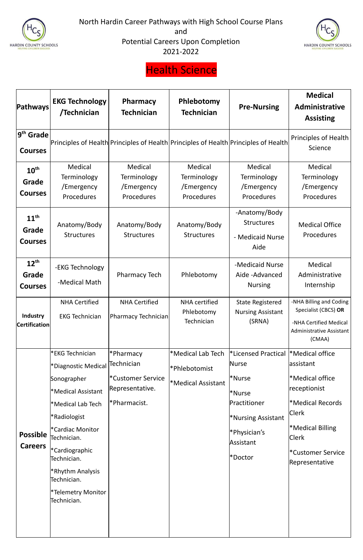



### Health Science

| Pathways                                    | <b>EKG Technology</b><br>/Technician                                                                                                                                                                                                                                                                                  | <b>Pharmacy</b><br><b>Technician</b>                                                  | Phlebotomy<br><b>Technician</b>                                 | <b>Pre-Nursing</b>                                                                                                                                                     | <b>Medical</b><br>Administrative<br><b>Assisting</b>                                                                                                                          |
|---------------------------------------------|-----------------------------------------------------------------------------------------------------------------------------------------------------------------------------------------------------------------------------------------------------------------------------------------------------------------------|---------------------------------------------------------------------------------------|-----------------------------------------------------------------|------------------------------------------------------------------------------------------------------------------------------------------------------------------------|-------------------------------------------------------------------------------------------------------------------------------------------------------------------------------|
| $9th$ Grade<br><b>Courses</b>               |                                                                                                                                                                                                                                                                                                                       | Principles of Health Principles of Health Principles of Health Principles of Health   |                                                                 |                                                                                                                                                                        | <b>Principles of Health</b><br>Science                                                                                                                                        |
| $10^{\text{th}}$<br>Grade<br><b>Courses</b> | Medical<br>Terminology<br>/Emergency<br>Procedures                                                                                                                                                                                                                                                                    | Medical<br>Terminology<br>/Emergency<br>Procedures                                    | Medical<br>Terminology<br>/Emergency<br>Procedures              | Medical<br>Terminology<br>/Emergency<br>Procedures                                                                                                                     | Medical<br>Terminology<br>/Emergency<br><b>Procedures</b>                                                                                                                     |
| $11^{\text{th}}$<br>Grade<br><b>Courses</b> | Anatomy/Body<br><b>Structures</b>                                                                                                                                                                                                                                                                                     | Anatomy/Body<br><b>Structures</b>                                                     | Anatomy/Body<br><b>Structures</b>                               | -Anatomy/Body<br><b>Structures</b><br>- Medicaid Nurse<br>Aide                                                                                                         | <b>Medical Office</b><br>Procedures                                                                                                                                           |
| $12^{th}$<br>Grade<br><b>Courses</b>        | -EKG Technology<br>-Medical Math                                                                                                                                                                                                                                                                                      | <b>Pharmacy Tech</b>                                                                  | Phlebotomy                                                      | -Medicaid Nurse<br>Aide - Advanced<br><b>Nursing</b>                                                                                                                   | Medical<br>Administrative<br>Internship                                                                                                                                       |
| Industry<br><b>Certification</b>            | <b>NHA Certified</b><br><b>EKG Technician</b>                                                                                                                                                                                                                                                                         | <b>NHA Certified</b><br>Pharmacy Technician                                           | <b>NHA</b> certified<br>Phlebotomy<br>Technician                | <b>State Registered</b><br><b>Nursing Assistant</b><br>(SRNA)                                                                                                          | -NHA Billing and Coding<br>Specialist (CBCS) OR<br>-NHA Certified Medical<br><b>Administrative Assistant</b><br>(CMAA)                                                        |
| <b>Possible</b><br><b>Careers</b>           | FEKG Technician <sup>*</sup><br>*Diagnostic Medical<br>Sonographer<br><sup>*</sup> Medical Assistant<br>*Medical Lab Tech<br>*Radiologist<br><sup>*</sup> Cardiac Monitor<br>Technician.<br><sup>*</sup> Cardiographic<br>Technician.<br><b>*Rhythm Analysis</b><br>Technician.<br> *Telemetry Monitor<br>Technician. | <b>Pharmacy</b><br>Technician<br>*Customer Service<br>Representative.<br>*Pharmacist. | *Medical Lab Tech<br>*Phlebotomist<br><b>*Medical Assistant</b> | <b>Example 12</b> Exercical<br>Nurse<br><sup>*</sup> Nurse<br>*Nurse<br>Practitioner<br><b>*Nursing Assistant</b><br>Physician's <sup>*</sup><br>Assistant<br>l*Doctor | <sup>*</sup> Medical office<br>assistant<br>*Medical office<br>receptionist<br>*Medical Records<br> Clerk<br>*Medical Billing<br>Clerk<br>*Customer Service<br>Representative |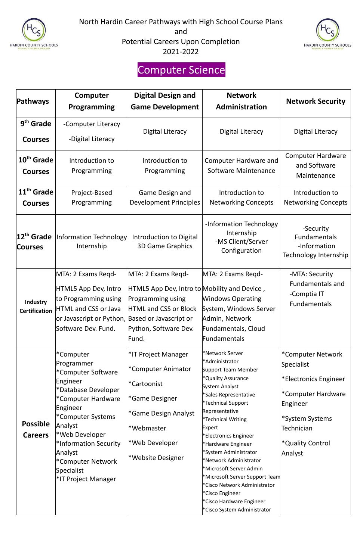



## Computer Science

| <b>Pathways</b>                          | Computer<br><b>Programming</b>                                                                                                                                                                                                                                     | <b>Digital Design and</b><br><b>Game Development</b>                                                                                                                            | <b>Network</b><br>Administration                                                                                                                                                                                                                                                                                                                                                                                                                                               | <b>Network Security</b>                                                                                                                                                |
|------------------------------------------|--------------------------------------------------------------------------------------------------------------------------------------------------------------------------------------------------------------------------------------------------------------------|---------------------------------------------------------------------------------------------------------------------------------------------------------------------------------|--------------------------------------------------------------------------------------------------------------------------------------------------------------------------------------------------------------------------------------------------------------------------------------------------------------------------------------------------------------------------------------------------------------------------------------------------------------------------------|------------------------------------------------------------------------------------------------------------------------------------------------------------------------|
| 9 <sup>th</sup> Grade<br><b>Courses</b>  | -Computer Literacy<br>-Digital Literacy                                                                                                                                                                                                                            | <b>Digital Literacy</b>                                                                                                                                                         | Digital Literacy                                                                                                                                                                                                                                                                                                                                                                                                                                                               | Digital Literacy                                                                                                                                                       |
| 10 <sup>th</sup> Grade<br><b>Courses</b> | Introduction to<br>Programming                                                                                                                                                                                                                                     | Introduction to<br>Programming                                                                                                                                                  | <b>Computer Hardware and</b><br>Software Maintenance                                                                                                                                                                                                                                                                                                                                                                                                                           | <b>Computer Hardware</b><br>and Software<br>Maintenance                                                                                                                |
| 11 <sup>th</sup> Grade<br><b>Courses</b> | Project-Based<br>Programming                                                                                                                                                                                                                                       | Game Design and<br><b>Development Principles</b>                                                                                                                                | Introduction to<br><b>Networking Concepts</b>                                                                                                                                                                                                                                                                                                                                                                                                                                  | Introduction to<br><b>Networking Concepts</b>                                                                                                                          |
| 12 <sup>th</sup> Grade<br><b>Courses</b> | Information Technology<br>Internship                                                                                                                                                                                                                               | Introduction to Digital<br><b>3D Game Graphics</b>                                                                                                                              | -Information Technology<br>Internship<br>-MS Client/Server<br>Configuration                                                                                                                                                                                                                                                                                                                                                                                                    | -Security<br><b>Fundamentals</b><br>-Information<br>Technology Internship                                                                                              |
| Industry<br><b>Certification</b>         | MTA: 2 Exams Regd-<br>HTML5 App Dev, Intro<br>to Programming using<br><b>HTML and CSS or Java</b><br>or Javascript or Python, Based or Javascript or<br>Software Dev. Fund.                                                                                        | MTA: 2 Exams Regd-<br>HTML5 App Dev, Intro to Mobility and Device,<br>Programming using<br><b>HTML and CSS or Block</b><br>Python, Software Dev.<br>Fund.                       | MTA: 2 Exams Regd-<br><b>Windows Operating</b><br>System, Windows Server<br>Admin, Network<br>Fundamentals, Cloud<br>Fundamentals                                                                                                                                                                                                                                                                                                                                              | -MTA: Security<br><b>Fundamentals and</b><br>-Comptia IT<br>Fundamentals                                                                                               |
| <b>Possible</b><br><b>Careers</b>        | *Computer<br>Programmer<br>*Computer Software<br>Engineer<br>*Database Developer<br>*Computer Hardware<br>Engineer<br>*Computer Systems<br>Analyst<br>*Web Developer<br>*Information Security<br>Analyst<br>*Computer Network<br>Specialist<br>*IT Project Manager | <sup>*</sup> IT Project Manager<br>*Computer Animator<br>*Cartoonist<br>*Game Designer<br><sup>*</sup> Game Design Analyst<br>*Webmaster<br>*Web Developer<br>*Website Designer | *Network Server<br>*Administrator<br>Support Team Member<br>*Quality Assurance<br>System Analyst<br>*Sales Representative<br>*Technical Support<br>Representative<br>*Technical Writing<br>Expert<br>*Electronics Engineer<br>*Hardware Engineer<br>*System Administrator<br>*Network Administrator<br>*Microsoft Server Admin<br>*Microsoft Server Support Team<br>*Cisco Network Administrator<br>*Cisco Engineer<br>*Cisco Hardware Engineer<br>*Cisco System Administrator | *Computer Network<br>Specialist<br>*Electronics Engineer<br>*Computer Hardware<br>Engineer<br>*System Systems<br>Technician<br><sup>*</sup> Quality Control<br>Analyst |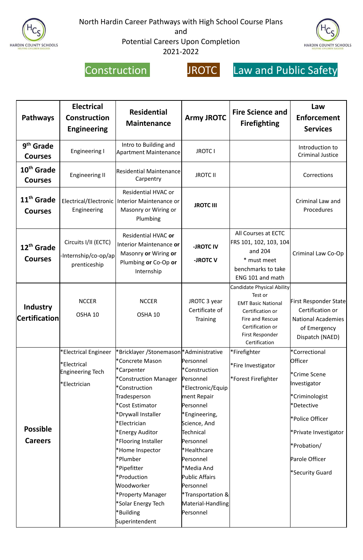

North Hardin Career Pathways with High School Course Plans

and

Potential Careers Upon Completion 2021-2022





#### Construction JROTC Law and Public Safety

| <b>Pathways</b>                          | <b>Electrical</b><br><b>Construction</b><br><b>Engineering</b>                 | <b>Residential</b><br><b>Maintenance</b>                                                                                                              | <b>Army JROTC</b>                                                                        | <b>Fire Science and</b><br><b>Firefighting</b>                                                                                       | Law<br><b>Enforcement</b><br><b>Services</b>                                                                                 |
|------------------------------------------|--------------------------------------------------------------------------------|-------------------------------------------------------------------------------------------------------------------------------------------------------|------------------------------------------------------------------------------------------|--------------------------------------------------------------------------------------------------------------------------------------|------------------------------------------------------------------------------------------------------------------------------|
| 9 <sup>th</sup> Grade<br><b>Courses</b>  | <b>Engineering I</b>                                                           | Intro to Building and<br>Apartment Maintenance                                                                                                        | <b>JROTC I</b>                                                                           |                                                                                                                                      | Introduction to<br><b>Criminal Justice</b>                                                                                   |
| 10 <sup>th</sup> Grade<br><b>Courses</b> | <b>Engineering II</b>                                                          | <b>Residential Maintenance</b><br>Carpentry                                                                                                           | <b>JROTC II</b>                                                                          |                                                                                                                                      | Corrections                                                                                                                  |
| 11 <sup>th</sup> Grade<br><b>Courses</b> | Engineering                                                                    | <b>Residential HVAC or</b><br>Electrical/Electronic   Interior Maintenance or<br>Masonry or Wiring or<br>Plumbing                                     | <b>JROTC III</b>                                                                         |                                                                                                                                      | Criminal Law and<br>Procedures                                                                                               |
| $12th$ Grade<br><b>Courses</b>           | Circuits I/II (ECTC)<br>-Internship/co-op/ap<br>prenticeship                   | <b>Residential HVAC or</b><br>Interior Maintenance or<br>Masonry or Wiring or<br>Plumbing or Co-Op or<br>Internship                                   | -JROTC IV<br>-JROTC <sub>V</sub>                                                         | All Courses at ECTC<br>FRS 101, 102, 103, 104<br>and 204<br>* must meet<br>benchmarks to take<br>ENG 101 and math                    | Criminal Law Co-Op                                                                                                           |
| <b>Industry</b><br><b>Certification</b>  | <b>NCCER</b><br>OSHA 10                                                        | <b>NCCER</b><br>OSHA 10                                                                                                                               | JROTC 3 year<br>Certificate of<br><b>Training</b>                                        | Candidate Physical Ability<br>Test or<br>Certification or<br>Fire and Rescue<br>Certification or<br>First Responder<br>Certification | EMT Basic National First Responder State<br>Certification or<br><b>National Academies</b><br>of Emergency<br>Dispatch (NAED) |
|                                          | *Electrical Engineer<br>*Electrical<br><b>Engineering Tech</b><br>*Electrician | *Bricklayer /Stonemason *Administrative<br>*Concrete Mason<br>*Carpenter<br>*Construction Manager<br>*Construction<br>Tradesperson<br>*Cost Estimator | Personnel<br>*Construction<br>Personnel<br>*Electronic/Equip<br>ment Repair<br>Personnel | *Firefighter<br>*Fire Investigator<br>*Forest Firefighter                                                                            | *Correctional<br>Officer<br>*Crime Scene<br>Investigator<br>*Criminologist<br>*Detective                                     |

|                 | *Drywall Installer         | <sup>*</sup> Engineering,    | *Police Officer           |
|-----------------|----------------------------|------------------------------|---------------------------|
|                 | l*Electrician              | Science, And                 |                           |
| <b>Possible</b> | *Energy Auditor            | Technical                    | *Private Investigator     |
| <b>Careers</b>  | <b>*Flooring Installer</b> | Personnel                    |                           |
|                 | *Home Inspector            | *Healthcare                  | <i><b>*Probation/</b></i> |
|                 | *Plumber                   | Personnel                    | Parole Officer            |
|                 | ∣*Pipefitter               | <sup>*</sup> Media And       |                           |
|                 | *Production                | <b>Public Affairs</b>        | *Security Guard           |
|                 | Woodworker                 | Personnel                    |                           |
|                 | *Property Manager          | <b>*Transportation &amp;</b> |                           |
|                 | *Solar Energy Tech         | Material-Handling            |                           |
|                 | *Building                  | Personnel                    |                           |
|                 | Superintendent             |                              |                           |